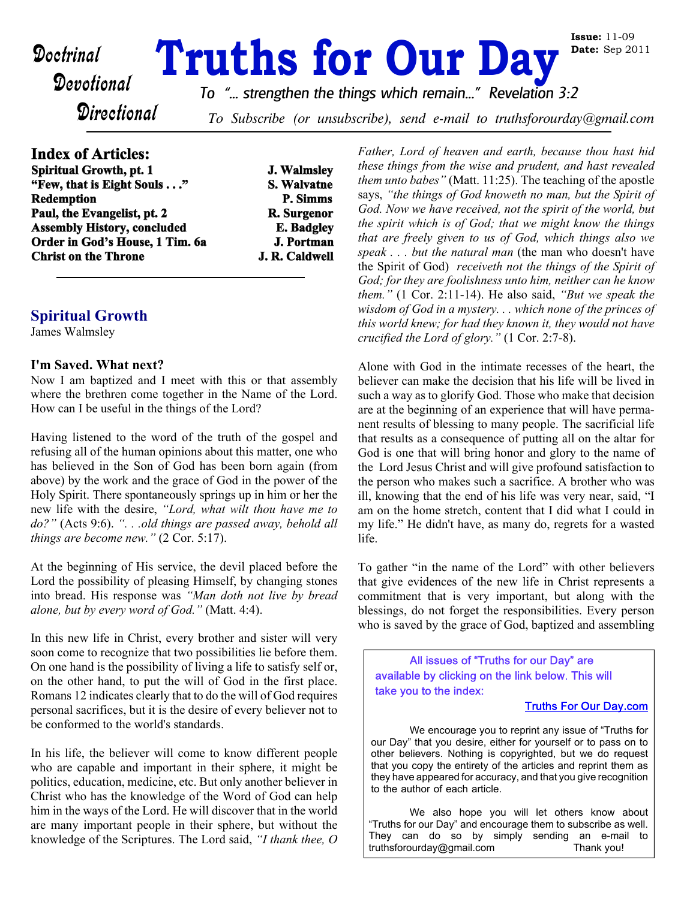# **Doctrinal Truths for Our Day**

*To "... strengthen the things which remain..." Revelation 3:2*

**Directional** 

To Subscribe (or unsubscribe), send e-mail to truthsforourday@gmail.com

## **Index of Articles:**

| <b>J. Walmsley</b> |
|--------------------|
| S. Walvatne        |
| P. Simms           |
| R. Surgenor        |
| <b>E.</b> Badgley  |
| <b>J. Portman</b>  |
| J. R. Caldwell     |
|                    |

## **Spiritual Growth**

James Walmsley

#### **I'm Saved. What next?**

Now I am baptized and I meet with this or that assembly where the brethren come together in the Name of the Lord. How can I be useful in the things of the Lord?

Having listened to the word of the truth of the gospel and refusing all of the human opinions about this matter, one who has believed in the Son of God has been born again (from above) by the work and the grace of God in the power of the Holy Spirit. There spontaneously springs up in him or her the new life with the desire, *"Lord, what wilt thou have me to do?"* (Acts 9:6). *". . .old things are passed away, behold all things are become new."* (2 Cor. 5:17).

At the beginning of His service, the devil placed before the Lord the possibility of pleasing Himself, by changing stones into bread. His response was *"Man doth not live by bread alone, but by every word of God."* (Matt. 4:4).

In this new life in Christ, every brother and sister will very soon come to recognize that two possibilities lie before them. On one hand is the possibility of living a life to satisfy self or, on the other hand, to put the will of God in the first place. Romans 12 indicates clearly that to do the will of God requires personal sacrifices, but it is the desire of every believer not to be conformed to the world's standards.

In his life, the believer will come to know different people who are capable and important in their sphere, it might be politics, education, medicine, etc. But only another believer in Christ who has the knowledge of the Word of God can help him in the ways of the Lord. He will discover that in the world are many important people in their sphere, but without the knowledge of the Scriptures. The Lord said, *"I thank thee, O* *Father, Lord of heaven and earth, because thou hast hid these things from the wise and prudent, and hast revealed them unto babes"* (Matt. 11:25). The teaching of the apostle says, *"the things of God knoweth no man, but the Spirit of God. Now we have received, not the spirit of the world, but the spirit which is of God; that we might know the things that are freely given to us of God, which things also we speak . . . but the natural man* (the man who doesn't have the Spirit of God) *receiveth not the things of the Spirit of God; for they are foolishness unto him, neither can he know them."* (1 Cor. 2:11-14). He also said, *"But we speak the wisdom of God in a mystery. . . which none of the princes of this world knew; for had they known it, they would not have crucified the Lord of glory."* (1 Cor. 2:7-8).

Alone with God in the intimate recesses of the heart, the believer can make the decision that his life will be lived in such a way as to glorify God. Those who make that decision are at the beginning of an experience that will have permanent results of blessing to many people. The sacrificial life that results as a consequence of putting all on the altar for God is one that will bring honor and glory to the name of the Lord Jesus Christ and will give profound satisfaction to the person who makes such a sacrifice. A brother who was ill, knowing that the end of his life was very near, said, "I am on the home stretch, content that I did what I could in my life." He didn't have, as many do, regrets for a wasted life.

To gather "in the name of the Lord" with other believers that give evidences of the new life in Christ represents a commitment that is very important, but along with the blessings, do not forget the responsibilities. Every person who is saved by the grace of God, baptized and assembling

All issues of "Truths for our Day" are available by clicking on the link below. This will take you to the index:

#### **Truths For Our Day.com**

 We encourage you to reprint any issue of "Truths for our Day" that you desire, either for yourself or to pass on to other believers. Nothing is copyrighted, but we do request that you copy the entirety of the articles and reprint them as they have appeared for accuracy, and that you give recognition to the author of each article.

 We also hope you will let others know about "Truths for our Day" and encourage them to subscribe as well. They can do so by simply sending an e-mail to truthsforourday@gmail.com Thank you!

**Issue:** 11-09 **Date:** Sep 2011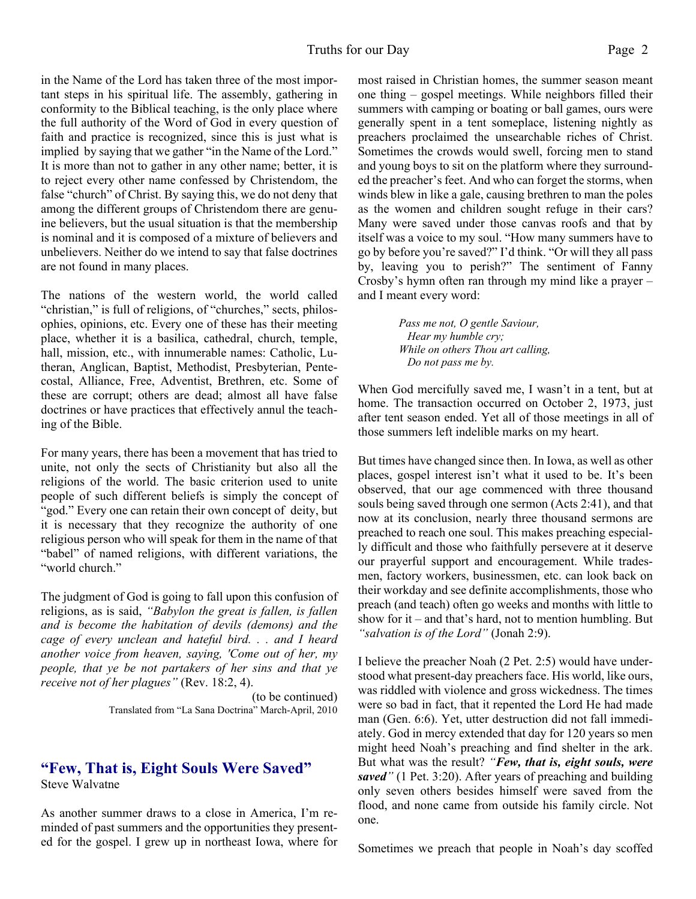in the Name of the Lord has taken three of the most important steps in his spiritual life. The assembly, gathering in conformity to the Biblical teaching, is the only place where the full authority of the Word of God in every question of faith and practice is recognized, since this is just what is implied by saying that we gather "in the Name of the Lord." It is more than not to gather in any other name; better, it is to reject every other name confessed by Christendom, the false "church" of Christ. By saying this, we do not deny that among the different groups of Christendom there are genuine believers, but the usual situation is that the membership is nominal and it is composed of a mixture of believers and unbelievers. Neither do we intend to say that false doctrines are not found in many places.

The nations of the western world, the world called "christian," is full of religions, of "churches," sects, philosophies, opinions, etc. Every one of these has their meeting place, whether it is a basilica, cathedral, church, temple, hall, mission, etc., with innumerable names: Catholic, Lutheran, Anglican, Baptist, Methodist, Presbyterian, Pentecostal, Alliance, Free, Adventist, Brethren, etc. Some of these are corrupt; others are dead; almost all have false doctrines or have practices that effectively annul the teaching of the Bible.

For many years, there has been a movement that has tried to unite, not only the sects of Christianity but also all the religions of the world. The basic criterion used to unite people of such different beliefs is simply the concept of "god." Every one can retain their own concept of deity, but it is necessary that they recognize the authority of one religious person who will speak for them in the name of that "babel" of named religions, with different variations, the "world church."

The judgment of God is going to fall upon this confusion of religions, as is said, *"Babylon the great is fallen, is fallen and is become the habitation of devils (demons) and the cage of every unclean and hateful bird. . . and I heard another voice from heaven, saying, 'Come out of her, my people, that ye be not partakers of her sins and that ye receive not of her plagues"* (Rev. 18:2, 4).

> (to be continued) Translated from "La Sana Doctrina" March-April, 2010

# **"Few, That is, Eight Souls Were Saved"**

Steve Walvatne

As another summer draws to a close in America, I'm reminded of past summers and the opportunities they presented for the gospel. I grew up in northeast Iowa, where for most raised in Christian homes, the summer season meant one thing – gospel meetings. While neighbors filled their summers with camping or boating or ball games, ours were generally spent in a tent someplace, listening nightly as preachers proclaimed the unsearchable riches of Christ. Sometimes the crowds would swell, forcing men to stand and young boys to sit on the platform where they surrounded the preacher's feet. And who can forget the storms, when winds blew in like a gale, causing brethren to man the poles as the women and children sought refuge in their cars? Many were saved under those canvas roofs and that by itself was a voice to my soul. "How many summers have to go by before you're saved?" I'd think. "Or will they all pass by, leaving you to perish?" The sentiment of Fanny Crosby's hymn often ran through my mind like a prayer – and I meant every word:

> *Pass me not, O gentle Saviour, Hear my humble cry; While on others Thou art calling, Do not pass me by.*

When God mercifully saved me, I wasn't in a tent, but at home. The transaction occurred on October 2, 1973, just after tent season ended. Yet all of those meetings in all of those summers left indelible marks on my heart.

But times have changed since then. In Iowa, as well as other places, gospel interest isn't what it used to be. It's been observed, that our age commenced with three thousand souls being saved through one sermon (Acts 2:41), and that now at its conclusion, nearly three thousand sermons are preached to reach one soul. This makes preaching especially difficult and those who faithfully persevere at it deserve our prayerful support and encouragement. While tradesmen, factory workers, businessmen, etc. can look back on their workday and see definite accomplishments, those who preach (and teach) often go weeks and months with little to show for it – and that's hard, not to mention humbling. But *"salvation is of the Lord"* (Jonah 2:9).

I believe the preacher Noah (2 Pet. 2:5) would have understood what present-day preachers face. His world, like ours, was riddled with violence and gross wickedness. The times were so bad in fact, that it repented the Lord He had made man (Gen. 6:6). Yet, utter destruction did not fall immediately. God in mercy extended that day for 120 years so men might heed Noah's preaching and find shelter in the ark. But what was the result? *"Few, that is, eight souls, were saved"* (1 Pet. 3:20). After years of preaching and building only seven others besides himself were saved from the flood, and none came from outside his family circle. Not one.

Sometimes we preach that people in Noah's day scoffed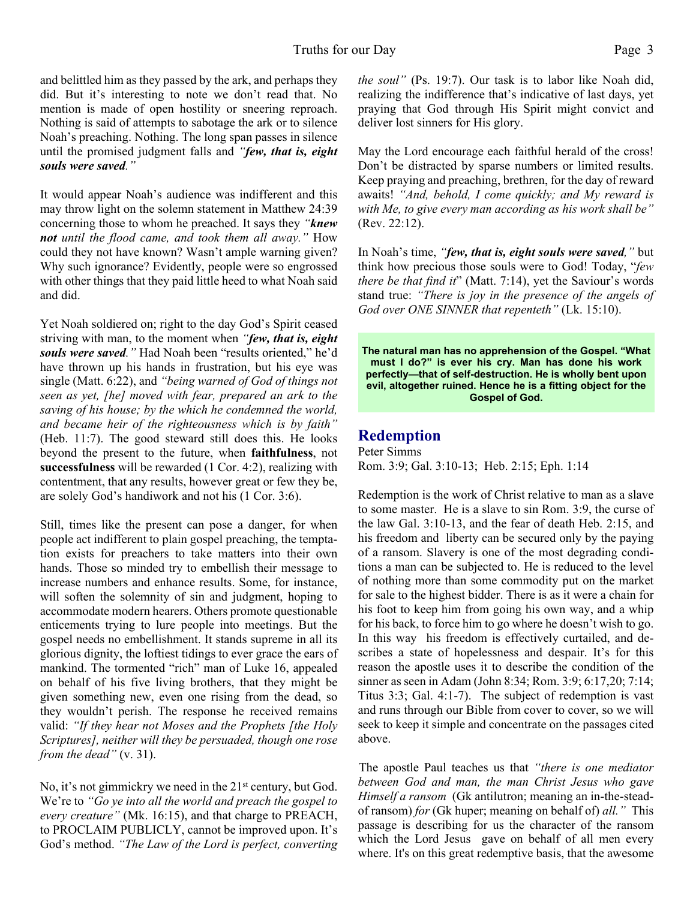and belittled him as they passed by the ark, and perhaps they did. But it's interesting to note we don't read that. No mention is made of open hostility or sneering reproach. Nothing is said of attempts to sabotage the ark or to silence Noah's preaching. Nothing. The long span passes in silence until the promised judgment falls and *"few, that is, eight souls were saved."*

It would appear Noah's audience was indifferent and this may throw light on the solemn statement in Matthew 24:39 concerning those to whom he preached. It says they *"knew not until the flood came, and took them all away."* How could they not have known? Wasn't ample warning given? Why such ignorance? Evidently, people were so engrossed with other things that they paid little heed to what Noah said and did.

Yet Noah soldiered on; right to the day God's Spirit ceased striving with man, to the moment when *"few, that is, eight souls were saved."* Had Noah been "results oriented," he'd have thrown up his hands in frustration, but his eye was single (Matt. 6:22), and *"being warned of God of things not seen as yet, [he] moved with fear, prepared an ark to the saving of his house; by the which he condemned the world, and became heir of the righteousness which is by faith"* (Heb. 11:7). The good steward still does this. He looks beyond the present to the future, when **faithfulness**, not **successfulness** will be rewarded (1 Cor. 4:2), realizing with contentment, that any results, however great or few they be, are solely God's handiwork and not his (1 Cor. 3:6).

Still, times like the present can pose a danger, for when people act indifferent to plain gospel preaching, the temptation exists for preachers to take matters into their own hands. Those so minded try to embellish their message to increase numbers and enhance results. Some, for instance, will soften the solemnity of sin and judgment, hoping to accommodate modern hearers. Others promote questionable enticements trying to lure people into meetings. But the gospel needs no embellishment. It stands supreme in all its glorious dignity, the loftiest tidings to ever grace the ears of mankind. The tormented "rich" man of Luke 16, appealed on behalf of his five living brothers, that they might be given something new, even one rising from the dead, so they wouldn't perish. The response he received remains valid: *"If they hear not Moses and the Prophets [the Holy Scriptures], neither will they be persuaded, though one rose from the dead"* (v. 31).

No, it's not gimmickry we need in the 21<sup>st</sup> century, but God. We're to *"Go ye into all the world and preach the gospel to every creature"* (Mk. 16:15), and that charge to PREACH, to PROCLAIM PUBLICLY, cannot be improved upon. It's God's method. *"The Law of the Lord is perfect, converting* *the soul"* (Ps. 19:7). Our task is to labor like Noah did, realizing the indifference that's indicative of last days, yet praying that God through His Spirit might convict and deliver lost sinners for His glory.

May the Lord encourage each faithful herald of the cross! Don't be distracted by sparse numbers or limited results. Keep praying and preaching, brethren, for the day of reward awaits! *"And, behold, I come quickly; and My reward is with Me, to give every man according as his work shall be"* (Rev. 22:12).

In Noah's time, *"few, that is, eight souls were saved,"* but think how precious those souls were to God! Today, "*few there be that find it*" (Matt. 7:14), yet the Saviour's words stand true: *"There is joy in the presence of the angels of God over ONE SINNER that repenteth"* (Lk. 15:10).

**The natural man has no apprehension of the Gospel. "What must I do?" is ever his cry. Man has done his work perfectly—that of self-destruction. He is wholly bent upon evil, altogether ruined. Hence he is a fitting object for the Gospel of God.**

## **Redemption**

Peter Simms Rom. 3:9; Gal. 3:10-13; Heb. 2:15; Eph. 1:14

Redemption is the work of Christ relative to man as a slave to some master. He is a slave to sin Rom. 3:9, the curse of the law Gal. 3:10-13, and the fear of death Heb. 2:15, and his freedom and liberty can be secured only by the paying of a ransom. Slavery is one of the most degrading conditions a man can be subjected to. He is reduced to the level of nothing more than some commodity put on the market for sale to the highest bidder. There is as it were a chain for his foot to keep him from going his own way, and a whip for his back, to force him to go where he doesn't wish to go. In this way his freedom is effectively curtailed, and describes a state of hopelessness and despair. It's for this reason the apostle uses it to describe the condition of the sinner as seen in Adam (John 8:34; Rom. 3:9; 6:17,20; 7:14; Titus 3:3; Gal. 4:1-7). The subject of redemption is vast and runs through our Bible from cover to cover, so we will seek to keep it simple and concentrate on the passages cited above.

The apostle Paul teaches us that *"there is one mediator between God and man, the man Christ Jesus who gave Himself a ransom* (Gk antilutron; meaning an in-the-steadof ransom) *for* (Gk huper; meaning on behalf of) *all."* This passage is describing for us the character of the ransom which the Lord Jesus gave on behalf of all men every where. It's on this great redemptive basis, that the awesome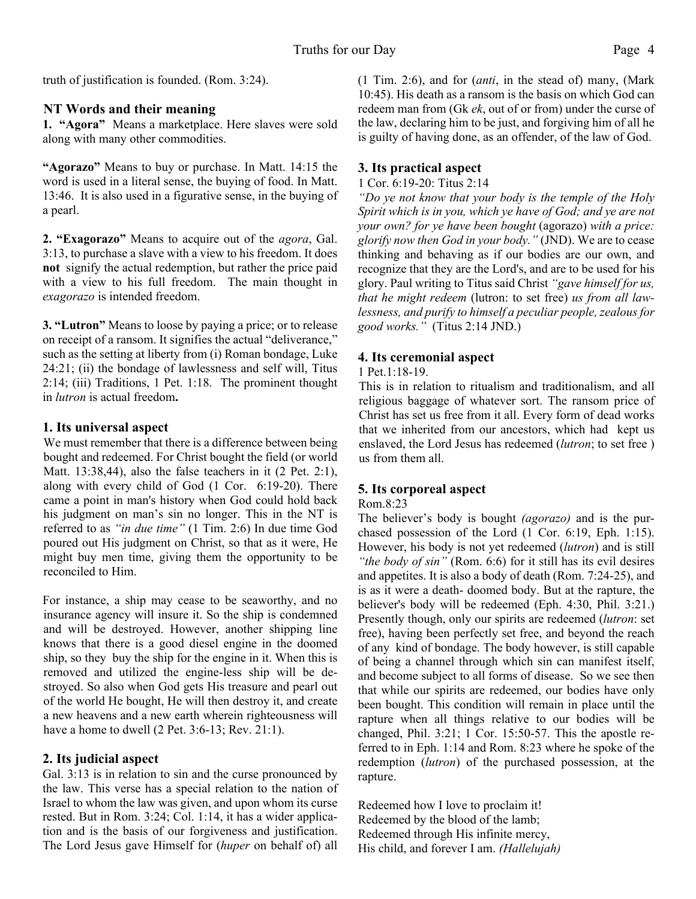truth of justification is founded. (Rom. 3:24).

#### **NT Words and their meaning**

**1. "Agora"** Means a marketplace. Here slaves were sold along with many other commodities.

**"Agorazo"** Means to buy or purchase. In Matt. 14:15 the word is used in a literal sense, the buying of food. In Matt. 13:46. It is also used in a figurative sense, in the buying of a pearl.

**2. "Exagorazo"** Means to acquire out of the *agora*, Gal. 3:13, to purchase a slave with a view to his freedom. It does **not** signify the actual redemption, but rather the price paid with a view to his full freedom. The main thought in *exagorazo* is intended freedom.

**3. "Lutron"** Means to loose by paying a price; or to release on receipt of a ransom. It signifies the actual "deliverance," such as the setting at liberty from (i) Roman bondage, Luke 24:21; (ii) the bondage of lawlessness and self will, Titus 2:14; (iii) Traditions, 1 Pet. 1:18. The prominent thought in *lutron* is actual freedom**.**

## **1. Its universal aspect**

We must remember that there is a difference between being bought and redeemed. For Christ bought the field (or world Matt. 13:38,44), also the false teachers in it (2 Pet. 2:1), along with every child of God (1 Cor. 6:19-20). There came a point in man's history when God could hold back his judgment on man's sin no longer. This in the NT is referred to as *"in due time"* (1 Tim. 2:6) In due time God poured out His judgment on Christ, so that as it were, He might buy men time, giving them the opportunity to be reconciled to Him.

For instance, a ship may cease to be seaworthy, and no insurance agency will insure it. So the ship is condemned and will be destroyed. However, another shipping line knows that there is a good diesel engine in the doomed ship, so they buy the ship for the engine in it. When this is removed and utilized the engine-less ship will be destroyed. So also when God gets His treasure and pearl out of the world He bought, He will then destroy it, and create a new heavens and a new earth wherein righteousness will have a home to dwell (2 Pet. 3:6-13; Rev. 21:1).

## **2. Its judicial aspect**

Gal. 3:13 is in relation to sin and the curse pronounced by the law. This verse has a special relation to the nation of Israel to whom the law was given, and upon whom its curse rested. But in Rom. 3:24; Col. 1:14, it has a wider application and is the basis of our forgiveness and justification. The Lord Jesus gave Himself for (*huper* on behalf of) all

(1 Tim. 2:6), and for (*anti*, in the stead of) many, (Mark 10:45). His death as a ransom is the basis on which God can redeem man from (Gk *ek*, out of or from) under the curse of the law, declaring him to be just, and forgiving him of all he is guilty of having done, as an offender, of the law of God.

## **3. Its practical aspect**

#### 1 Cor. 6:19-20: Titus 2:14

*"Do ye not know that your body is the temple of the Holy Spirit which is in you, which ye have of God; and ye are not your own? for ye have been bought* (agorazo) *with a price: glorify now then God in your body."* (JND). We are to cease thinking and behaving as if our bodies are our own, and recognize that they are the Lord's, and are to be used for his glory. Paul writing to Titus said Christ *"gave himself for us, that he might redeem* (lutron: to set free) *us from all lawlessness, and purify to himself a peculiar people, zealous for good works."* (Titus 2:14 JND.)

## **4. Its ceremonial aspect**

#### 1 Pet.1:18-19.

This is in relation to ritualism and traditionalism, and all religious baggage of whatever sort. The ransom price of Christ has set us free from it all. Every form of dead works that we inherited from our ancestors, which had kept us enslaved, the Lord Jesus has redeemed (*lutron*; to set free ) us from them all.

## **5. Its corporeal aspect**

#### Rom.8:23

The believer's body is bought *(agorazo)* and is the purchased possession of the Lord (1 Cor. 6:19, Eph. 1:15). However, his body is not yet redeemed (*lutron*) and is still *"the body of sin"* (Rom. 6:6) for it still has its evil desires and appetites. It is also a body of death (Rom. 7:24-25), and is as it were a death- doomed body. But at the rapture, the believer's body will be redeemed (Eph. 4:30, Phil. 3:21.) Presently though, only our spirits are redeemed (*lutron*: set free), having been perfectly set free, and beyond the reach of any kind of bondage. The body however, is still capable of being a channel through which sin can manifest itself, and become subject to all forms of disease. So we see then that while our spirits are redeemed, our bodies have only been bought. This condition will remain in place until the rapture when all things relative to our bodies will be changed, Phil. 3:21; 1 Cor. 15:50-57. This the apostle referred to in Eph. 1:14 and Rom. 8:23 where he spoke of the redemption (*lutron*) of the purchased possession, at the rapture.

Redeemed how I love to proclaim it! Redeemed by the blood of the lamb; Redeemed through His infinite mercy, His child, and forever I am. *(Hallelujah)*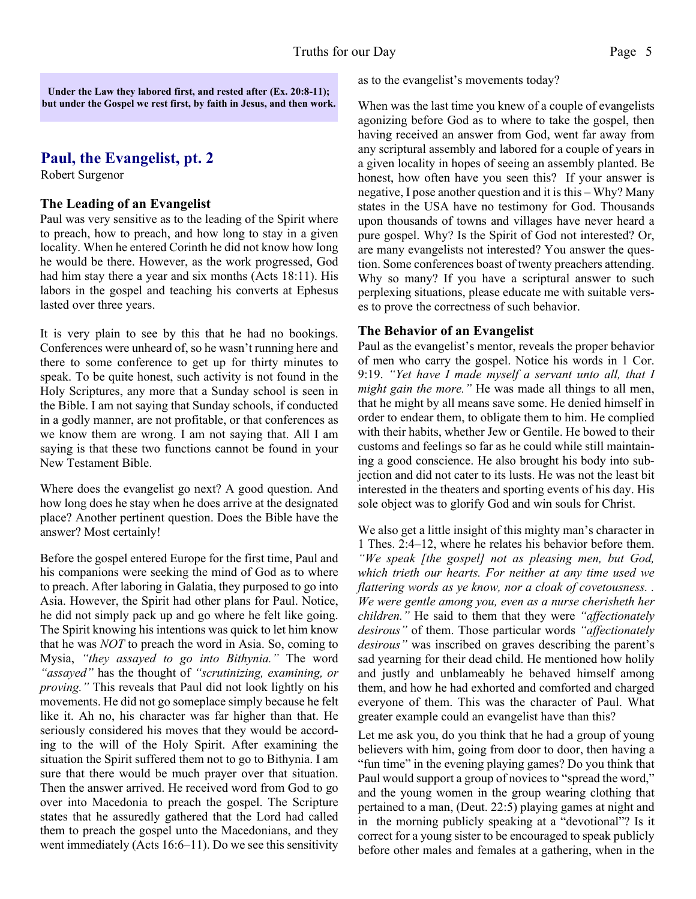**Under the Law they labored first, and rested after (Ex. 20:8-11); but under the Gospel we rest first, by faith in Jesus, and then work.**

## **Paul, the Evangelist, pt. 2**

Robert Surgenor

#### **The Leading of an Evangelist**

Paul was very sensitive as to the leading of the Spirit where to preach, how to preach, and how long to stay in a given locality. When he entered Corinth he did not know how long he would be there. However, as the work progressed, God had him stay there a year and six months (Acts 18:11). His labors in the gospel and teaching his converts at Ephesus lasted over three years.

It is very plain to see by this that he had no bookings. Conferences were unheard of, so he wasn't running here and there to some conference to get up for thirty minutes to speak. To be quite honest, such activity is not found in the Holy Scriptures, any more that a Sunday school is seen in the Bible. I am not saying that Sunday schools, if conducted in a godly manner, are not profitable, or that conferences as we know them are wrong. I am not saying that. All I am saying is that these two functions cannot be found in your New Testament Bible.

Where does the evangelist go next? A good question. And how long does he stay when he does arrive at the designated place? Another pertinent question. Does the Bible have the answer? Most certainly!

Before the gospel entered Europe for the first time, Paul and his companions were seeking the mind of God as to where to preach. After laboring in Galatia, they purposed to go into Asia. However, the Spirit had other plans for Paul. Notice, he did not simply pack up and go where he felt like going. The Spirit knowing his intentions was quick to let him know that he was *NOT* to preach the word in Asia. So, coming to Mysia, *"they assayed to go into Bithynia."* The word *"assayed"* has the thought of *"scrutinizing, examining, or proving."* This reveals that Paul did not look lightly on his movements. He did not go someplace simply because he felt like it. Ah no, his character was far higher than that. He seriously considered his moves that they would be according to the will of the Holy Spirit. After examining the situation the Spirit suffered them not to go to Bithynia. I am sure that there would be much prayer over that situation. Then the answer arrived. He received word from God to go over into Macedonia to preach the gospel. The Scripture states that he assuredly gathered that the Lord had called them to preach the gospel unto the Macedonians, and they went immediately (Acts 16:6–11). Do we see this sensitivity

as to the evangelist's movements today?

When was the last time you knew of a couple of evangelists agonizing before God as to where to take the gospel, then having received an answer from God, went far away from any scriptural assembly and labored for a couple of years in a given locality in hopes of seeing an assembly planted. Be honest, how often have you seen this? If your answer is negative, I pose another question and it is this – Why? Many states in the USA have no testimony for God. Thousands upon thousands of towns and villages have never heard a pure gospel. Why? Is the Spirit of God not interested? Or, are many evangelists not interested? You answer the question. Some conferences boast of twenty preachers attending. Why so many? If you have a scriptural answer to such perplexing situations, please educate me with suitable verses to prove the correctness of such behavior.

#### **The Behavior of an Evangelist**

Paul as the evangelist's mentor, reveals the proper behavior of men who carry the gospel. Notice his words in 1 Cor. 9:19. *"Yet have I made myself a servant unto all, that I might gain the more."* He was made all things to all men, that he might by all means save some. He denied himself in order to endear them, to obligate them to him. He complied with their habits, whether Jew or Gentile. He bowed to their customs and feelings so far as he could while still maintaining a good conscience. He also brought his body into subjection and did not cater to its lusts. He was not the least bit interested in the theaters and sporting events of his day. His sole object was to glorify God and win souls for Christ.

We also get a little insight of this mighty man's character in 1 Thes. 2:4–12, where he relates his behavior before them. *"We speak [the gospel] not as pleasing men, but God, which trieth our hearts. For neither at any time used we flattering words as ye know, nor a cloak of covetousness. . We were gentle among you, even as a nurse cherisheth her children."* He said to them that they were *"affectionately desirous"* of them. Those particular words *"affectionately desirous"* was inscribed on graves describing the parent's sad yearning for their dead child. He mentioned how holily and justly and unblameably he behaved himself among them, and how he had exhorted and comforted and charged everyone of them. This was the character of Paul. What greater example could an evangelist have than this?

Let me ask you, do you think that he had a group of young believers with him, going from door to door, then having a "fun time" in the evening playing games? Do you think that Paul would support a group of novices to "spread the word," and the young women in the group wearing clothing that pertained to a man, (Deut. 22:5) playing games at night and in the morning publicly speaking at a "devotional"? Is it correct for a young sister to be encouraged to speak publicly before other males and females at a gathering, when in the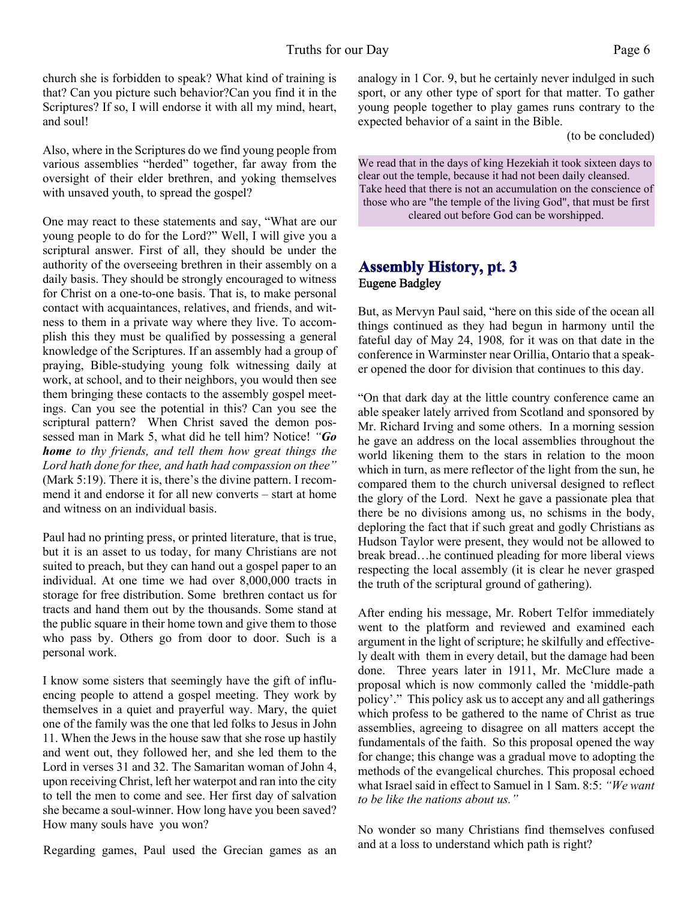church she is forbidden to speak? What kind of training is that? Can you picture such behavior?Can you find it in the Scriptures? If so, I will endorse it with all my mind, heart, and soul!

Also, where in the Scriptures do we find young people from various assemblies "herded" together, far away from the oversight of their elder brethren, and yoking themselves with unsaved youth, to spread the gospel?

One may react to these statements and say, "What are our young people to do for the Lord?" Well, I will give you a scriptural answer. First of all, they should be under the authority of the overseeing brethren in their assembly on a daily basis. They should be strongly encouraged to witness for Christ on a one-to-one basis. That is, to make personal contact with acquaintances, relatives, and friends, and witness to them in a private way where they live. To accomplish this they must be qualified by possessing a general knowledge of the Scriptures. If an assembly had a group of praying, Bible-studying young folk witnessing daily at work, at school, and to their neighbors, you would then see them bringing these contacts to the assembly gospel meetings. Can you see the potential in this? Can you see the scriptural pattern? When Christ saved the demon possessed man in Mark 5, what did he tell him? Notice! *"Go home to thy friends, and tell them how great things the Lord hath done for thee, and hath had compassion on thee"* (Mark 5:19). There it is, there's the divine pattern. I recommend it and endorse it for all new converts – start at home and witness on an individual basis.

Paul had no printing press, or printed literature, that is true, but it is an asset to us today, for many Christians are not suited to preach, but they can hand out a gospel paper to an individual. At one time we had over 8,000,000 tracts in storage for free distribution. Some brethren contact us for tracts and hand them out by the thousands. Some stand at the public square in their home town and give them to those who pass by. Others go from door to door. Such is a personal work.

I know some sisters that seemingly have the gift of influencing people to attend a gospel meeting. They work by themselves in a quiet and prayerful way. Mary, the quiet one of the family was the one that led folks to Jesus in John 11. When the Jews in the house saw that she rose up hastily and went out, they followed her, and she led them to the Lord in verses 31 and 32. The Samaritan woman of John 4, upon receiving Christ, left her waterpot and ran into the city to tell the men to come and see. Her first day of salvation she became a soul-winner. How long have you been saved? How many souls have you won?

Regarding games, Paul used the Grecian games as an

analogy in 1 Cor. 9, but he certainly never indulged in such sport, or any other type of sport for that matter. To gather young people together to play games runs contrary to the expected behavior of a saint in the Bible.

(to be concluded)

We read that in the days of king Hezekiah it took sixteen days to clear out the temple, because it had not been daily cleansed. Take heed that there is not an accumulation on the conscience of those who are "the temple of the living God", that must be first cleared out before God can be worshipped.

#### **Assembly History, pt. 3** Eugene Badgley

But, as Mervyn Paul said, "here on this side of the ocean all things continued as they had begun in harmony until the fateful day of May 24, 1908*,* for it was on that date in the conference in Warminster near Orillia, Ontario that a speaker opened the door for division that continues to this day.

"On that dark day at the little country conference came an able speaker lately arrived from Scotland and sponsored by Mr. Richard Irving and some others. In a morning session he gave an address on the local assemblies throughout the world likening them to the stars in relation to the moon which in turn, as mere reflector of the light from the sun, he compared them to the church universal designed to reflect the glory of the Lord. Next he gave a passionate plea that there be no divisions among us, no schisms in the body, deploring the fact that if such great and godly Christians as Hudson Taylor were present, they would not be allowed to break bread…he continued pleading for more liberal views respecting the local assembly (it is clear he never grasped the truth of the scriptural ground of gathering).

After ending his message, Mr. Robert Telfor immediately went to the platform and reviewed and examined each argument in the light of scripture; he skilfully and effectively dealt with them in every detail, but the damage had been done. Three years later in 1911, Mr. McClure made a proposal which is now commonly called the 'middle-path policy'." This policy ask us to accept any and all gatherings which profess to be gathered to the name of Christ as true assemblies, agreeing to disagree on all matters accept the fundamentals of the faith. So this proposal opened the way for change; this change was a gradual move to adopting the methods of the evangelical churches. This proposal echoed what Israel said in effect to Samuel in 1 Sam. 8:5: *"We want to be like the nations about us."*

No wonder so many Christians find themselves confused and at a loss to understand which path is right?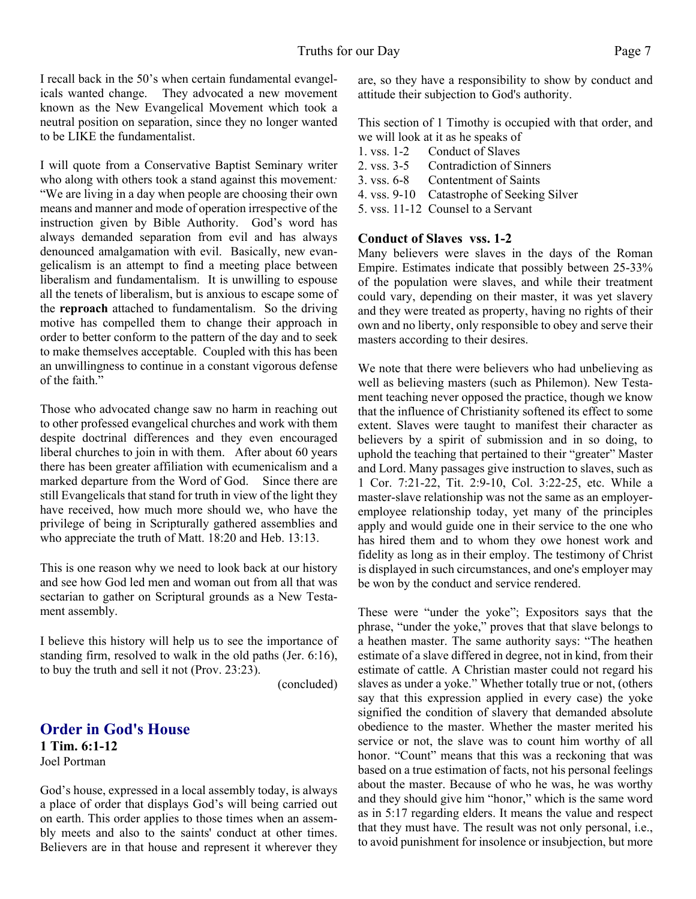I recall back in the 50's when certain fundamental evangelicals wanted change. They advocated a new movement known as the New Evangelical Movement which took a neutral position on separation, since they no longer wanted to be LIKE the fundamentalist.

I will quote from a Conservative Baptist Seminary writer who along with others took a stand against this movement*:* "We are living in a day when people are choosing their own means and manner and mode of operation irrespective of the instruction given by Bible Authority. God's word has always demanded separation from evil and has always denounced amalgamation with evil. Basically, new evangelicalism is an attempt to find a meeting place between liberalism and fundamentalism. It is unwilling to espouse all the tenets of liberalism, but is anxious to escape some of the **reproach** attached to fundamentalism. So the driving motive has compelled them to change their approach in order to better conform to the pattern of the day and to seek to make themselves acceptable. Coupled with this has been an unwillingness to continue in a constant vigorous defense of the faith."

Those who advocated change saw no harm in reaching out to other professed evangelical churches and work with them despite doctrinal differences and they even encouraged liberal churches to join in with them. After about 60 years there has been greater affiliation with ecumenicalism and a marked departure from the Word of God. Since there are still Evangelicals that stand for truth in view of the light they have received, how much more should we, who have the privilege of being in Scripturally gathered assemblies and who appreciate the truth of Matt. 18:20 and Heb. 13:13.

This is one reason why we need to look back at our history and see how God led men and woman out from all that was sectarian to gather on Scriptural grounds as a New Testament assembly.

I believe this history will help us to see the importance of standing firm, resolved to walk in the old paths (Jer. 6:16), to buy the truth and sell it not (Prov. 23:23).

(concluded)

#### **Order in God's House 1 Tim. 6:1-12** Joel Portman

God's house, expressed in a local assembly today, is always a place of order that displays God's will being carried out on earth. This order applies to those times when an assembly meets and also to the saints' conduct at other times. Believers are in that house and represent it wherever they are, so they have a responsibility to show by conduct and attitude their subjection to God's authority.

This section of 1 Timothy is occupied with that order, and we will look at it as he speaks of

- 1. vss. 1-2 Conduct of Slaves
- 2. vss. 3-5 Contradiction of Sinners
- 3. vss. 6-8 Contentment of Saints
- 4. vss. 9-10 Catastrophe of Seeking Silver
- 5. vss. 11-12 Counsel to a Servant

#### **Conduct of Slaves vss. 1-2**

Many believers were slaves in the days of the Roman Empire. Estimates indicate that possibly between 25-33% of the population were slaves, and while their treatment could vary, depending on their master, it was yet slavery and they were treated as property, having no rights of their own and no liberty, only responsible to obey and serve their masters according to their desires.

We note that there were believers who had unbelieving as well as believing masters (such as Philemon). New Testament teaching never opposed the practice, though we know that the influence of Christianity softened its effect to some extent. Slaves were taught to manifest their character as believers by a spirit of submission and in so doing, to uphold the teaching that pertained to their "greater" Master and Lord. Many passages give instruction to slaves, such as 1 Cor. 7:21-22, Tit. 2:9-10, Col. 3:22-25, etc. While a master-slave relationship was not the same as an employeremployee relationship today, yet many of the principles apply and would guide one in their service to the one who has hired them and to whom they owe honest work and fidelity as long as in their employ. The testimony of Christ is displayed in such circumstances, and one's employer may be won by the conduct and service rendered.

These were "under the yoke"; Expositors says that the phrase, "under the yoke," proves that that slave belongs to a heathen master. The same authority says: "The heathen estimate of a slave differed in degree, not in kind, from their estimate of cattle. A Christian master could not regard his slaves as under a yoke." Whether totally true or not, (others say that this expression applied in every case) the yoke signified the condition of slavery that demanded absolute obedience to the master. Whether the master merited his service or not, the slave was to count him worthy of all honor. "Count" means that this was a reckoning that was based on a true estimation of facts, not his personal feelings about the master. Because of who he was, he was worthy and they should give him "honor," which is the same word as in 5:17 regarding elders. It means the value and respect that they must have. The result was not only personal, i.e., to avoid punishment for insolence or insubjection, but more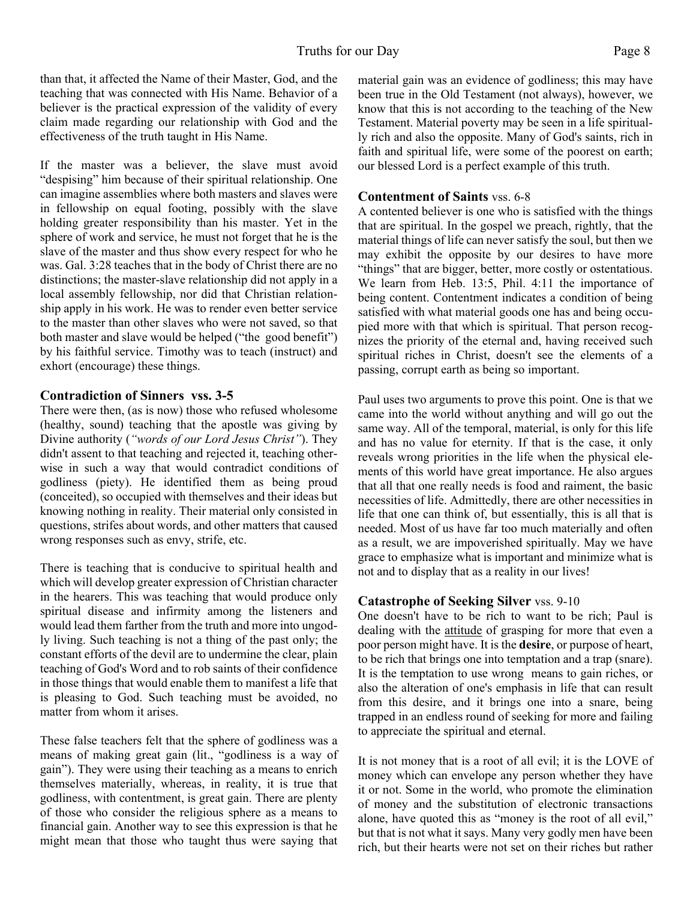than that, it affected the Name of their Master, God, and the teaching that was connected with His Name. Behavior of a believer is the practical expression of the validity of every claim made regarding our relationship with God and the effectiveness of the truth taught in His Name.

If the master was a believer, the slave must avoid "despising" him because of their spiritual relationship. One can imagine assemblies where both masters and slaves were in fellowship on equal footing, possibly with the slave holding greater responsibility than his master. Yet in the sphere of work and service, he must not forget that he is the slave of the master and thus show every respect for who he was. Gal. 3:28 teaches that in the body of Christ there are no distinctions; the master-slave relationship did not apply in a local assembly fellowship, nor did that Christian relationship apply in his work. He was to render even better service to the master than other slaves who were not saved, so that both master and slave would be helped ("the good benefit") by his faithful service. Timothy was to teach (instruct) and exhort (encourage) these things.

#### **Contradiction of Sinners vss. 3-5**

There were then, (as is now) those who refused wholesome (healthy, sound) teaching that the apostle was giving by Divine authority (*"words of our Lord Jesus Christ"*). They didn't assent to that teaching and rejected it, teaching otherwise in such a way that would contradict conditions of godliness (piety). He identified them as being proud (conceited), so occupied with themselves and their ideas but knowing nothing in reality. Their material only consisted in questions, strifes about words, and other matters that caused wrong responses such as envy, strife, etc.

There is teaching that is conducive to spiritual health and which will develop greater expression of Christian character in the hearers. This was teaching that would produce only spiritual disease and infirmity among the listeners and would lead them farther from the truth and more into ungodly living. Such teaching is not a thing of the past only; the constant efforts of the devil are to undermine the clear, plain teaching of God's Word and to rob saints of their confidence in those things that would enable them to manifest a life that is pleasing to God. Such teaching must be avoided, no matter from whom it arises.

These false teachers felt that the sphere of godliness was a means of making great gain (lit., "godliness is a way of gain"). They were using their teaching as a means to enrich themselves materially, whereas, in reality, it is true that godliness, with contentment, is great gain. There are plenty of those who consider the religious sphere as a means to financial gain. Another way to see this expression is that he might mean that those who taught thus were saying that

material gain was an evidence of godliness; this may have been true in the Old Testament (not always), however, we know that this is not according to the teaching of the New Testament. Material poverty may be seen in a life spiritually rich and also the opposite. Many of God's saints, rich in faith and spiritual life, were some of the poorest on earth; our blessed Lord is a perfect example of this truth.

#### **Contentment of Saints** vss. 6-8

A contented believer is one who is satisfied with the things that are spiritual. In the gospel we preach, rightly, that the material things of life can never satisfy the soul, but then we may exhibit the opposite by our desires to have more "things" that are bigger, better, more costly or ostentatious. We learn from Heb. 13:5, Phil. 4:11 the importance of being content. Contentment indicates a condition of being satisfied with what material goods one has and being occupied more with that which is spiritual. That person recognizes the priority of the eternal and, having received such spiritual riches in Christ, doesn't see the elements of a passing, corrupt earth as being so important.

Paul uses two arguments to prove this point. One is that we came into the world without anything and will go out the same way. All of the temporal, material, is only for this life and has no value for eternity. If that is the case, it only reveals wrong priorities in the life when the physical elements of this world have great importance. He also argues that all that one really needs is food and raiment, the basic necessities of life. Admittedly, there are other necessities in life that one can think of, but essentially, this is all that is needed. Most of us have far too much materially and often as a result, we are impoverished spiritually. May we have grace to emphasize what is important and minimize what is not and to display that as a reality in our lives!

#### **Catastrophe of Seeking Silver** vss. 9-10

One doesn't have to be rich to want to be rich; Paul is dealing with the attitude of grasping for more that even a poor person might have. It is the **desire**, or purpose of heart, to be rich that brings one into temptation and a trap (snare). It is the temptation to use wrong means to gain riches, or also the alteration of one's emphasis in life that can result from this desire, and it brings one into a snare, being trapped in an endless round of seeking for more and failing to appreciate the spiritual and eternal.

It is not money that is a root of all evil; it is the LOVE of money which can envelope any person whether they have it or not. Some in the world, who promote the elimination of money and the substitution of electronic transactions alone, have quoted this as "money is the root of all evil," but that is not what it says. Many very godly men have been rich, but their hearts were not set on their riches but rather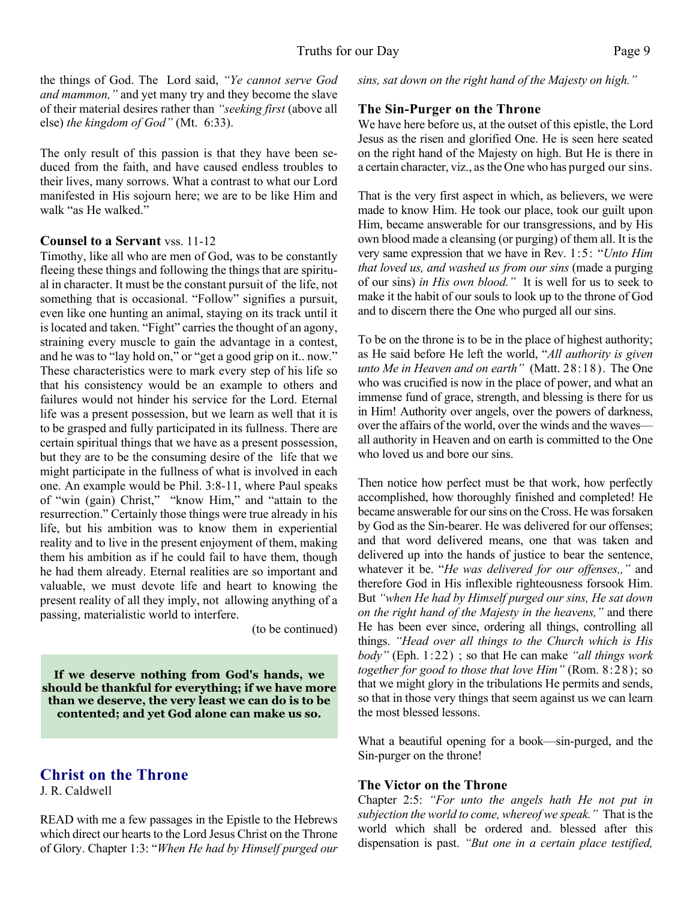the things of God. The Lord said, *"Ye cannot serve God and mammon,"* and yet many try and they become the slave of their material desires rather than *"seeking first* (above all else) *the kingdom of God"* (Mt. 6:33).

The only result of this passion is that they have been seduced from the faith, and have caused endless troubles to their lives, many sorrows. What a contrast to what our Lord manifested in His sojourn here; we are to be like Him and walk "as He walked."

#### **Counsel to a Servant** vss. 11-12

Timothy, like all who are men of God, was to be constantly fleeing these things and following the things that are spiritual in character. It must be the constant pursuit of the life, not something that is occasional. "Follow" signifies a pursuit, even like one hunting an animal, staying on its track until it is located and taken. "Fight" carries the thought of an agony, straining every muscle to gain the advantage in a contest, and he was to "lay hold on," or "get a good grip on it.. now." These characteristics were to mark every step of his life so that his consistency would be an example to others and failures would not hinder his service for the Lord. Eternal life was a present possession, but we learn as well that it is to be grasped and fully participated in its fullness. There are certain spiritual things that we have as a present possession, but they are to be the consuming desire of the life that we might participate in the fullness of what is involved in each one. An example would be Phil. 3:8-11, where Paul speaks of "win (gain) Christ," "know Him," and "attain to the resurrection." Certainly those things were true already in his life, but his ambition was to know them in experiential reality and to live in the present enjoyment of them, making them his ambition as if he could fail to have them, though he had them already. Eternal realities are so important and valuable, we must devote life and heart to knowing the present reality of all they imply, not allowing anything of a passing, materialistic world to interfere.

(to be continued)

**If we deserve nothing from God's hands, we should be thankful for everything; if we have more than we deserve, the very least we can do is to be contented; and yet God alone can make us so.**

# **Christ on the Throne**

J. R. Caldwell

READ with me a few passages in the Epistle to the Hebrews which direct our hearts to the Lord Jesus Christ on the Throne of Glory. Chapter 1:3: "*When He had by Himself purged our* *sins, sat down on the right hand of the Majesty on high."*

#### **The Sin-Purger on the Throne**

We have here before us, at the outset of this epistle, the Lord Jesus as the risen and glorified One. He is seen here seated on the right hand of the Majesty on high. But He is there in a certain character, viz., as the One who has purged our sins.

That is the very first aspect in which, as believers, we were made to know Him. He took our place, took our guilt upon Him, became answerable for our transgressions, and by His own blood made a cleansing (or purging) of them all. It is the very same expression that we have in Rev. 1:5: "*Unto Him that loved us, and washed us from our sins* (made a purging of our sins) *in His own blood."* It is well for us to seek to make it the habit of our souls to look up to the throne of God and to discern there the One who purged all our sins.

To be on the throne is to be in the place of highest authority; as He said before He left the world, "*All authority is given unto Me in Heaven and on earth"* (Matt. 28:18). The One who was crucified is now in the place of power, and what an immense fund of grace, strength, and blessing is there for us in Him! Authority over angels, over the powers of darkness, over the affairs of the world, over the winds and the waves all authority in Heaven and on earth is committed to the One who loved us and bore our sins.

Then notice how perfect must be that work, how perfectly accomplished, how thoroughly finished and completed! He became answerable for our sins on the Cross. He was forsaken by God as the Sin-bearer. He was delivered for our offenses; and that word delivered means, one that was taken and delivered up into the hands of justice to bear the sentence, whatever it be. "*He was delivered for our offenses,,"* and therefore God in His inflexible righteousness forsook Him. But *"when He had by Himself purged our sins, He sat down on the right hand of the Majesty in the heavens,"* and there He has been ever since, ordering all things, controlling all things. *"Head over all things to the Church which is His body"* (Eph. 1:22) ; so that He can make *"all things work together for good to those that love Him"* (Rom. 8:28); so that we might glory in the tribulations He permits and sends, so that in those very things that seem against us we can learn the most blessed lessons.

What a beautiful opening for a book—sin-purged, and the Sin-purger on the throne!

#### **The Victor on the Throne**

Chapter 2:5: *"For unto the angels hath He not put in subjection the world to come, whereof we speak."* That is the world which shall be ordered and. blessed after this dispensation is past. *"But one in a certain place testified,*